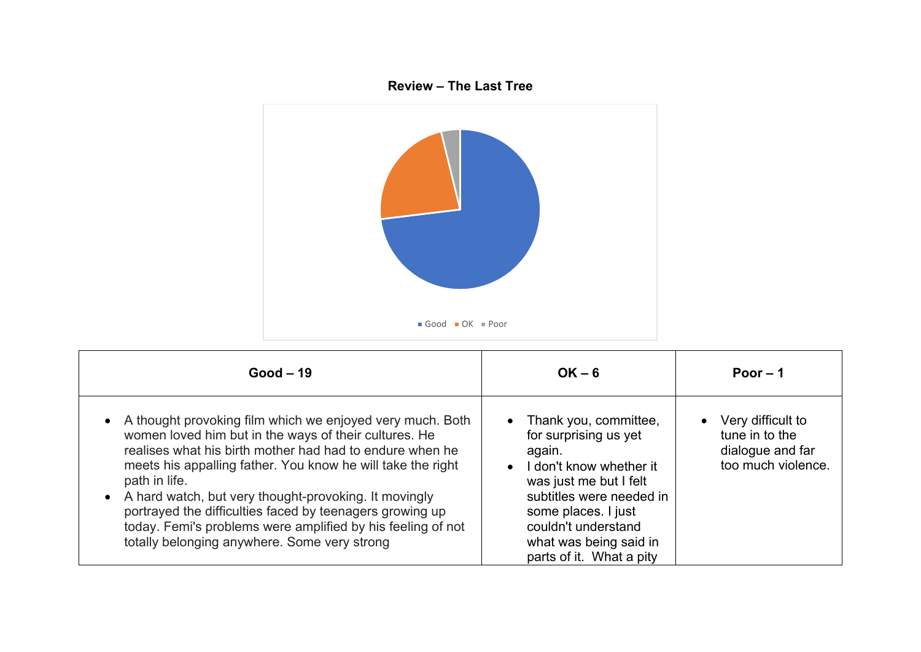

| $Good-19$                                                                                                                                                                                                                                                                                                                                                                                                                                                                                          | $OK - 6$                                                                                                                                                                                                                                      | Poor $-1$                                                                       |
|----------------------------------------------------------------------------------------------------------------------------------------------------------------------------------------------------------------------------------------------------------------------------------------------------------------------------------------------------------------------------------------------------------------------------------------------------------------------------------------------------|-----------------------------------------------------------------------------------------------------------------------------------------------------------------------------------------------------------------------------------------------|---------------------------------------------------------------------------------|
| A thought provoking film which we enjoyed very much. Both<br>women loved him but in the ways of their cultures. He<br>realises what his birth mother had had to endure when he<br>meets his appalling father. You know he will take the right<br>path in life.<br>A hard watch, but very thought-provoking. It movingly<br>portrayed the difficulties faced by teenagers growing up<br>today. Femi's problems were amplified by his feeling of not<br>totally belonging anywhere. Some very strong | Thank you, committee,<br>for surprising us yet<br>again.<br>I don't know whether it<br>was just me but I felt<br>subtitles were needed in<br>some places. I just<br>couldn't understand<br>what was being said in<br>parts of it. What a pity | • Very difficult to<br>tune in to the<br>dialogue and far<br>too much violence. |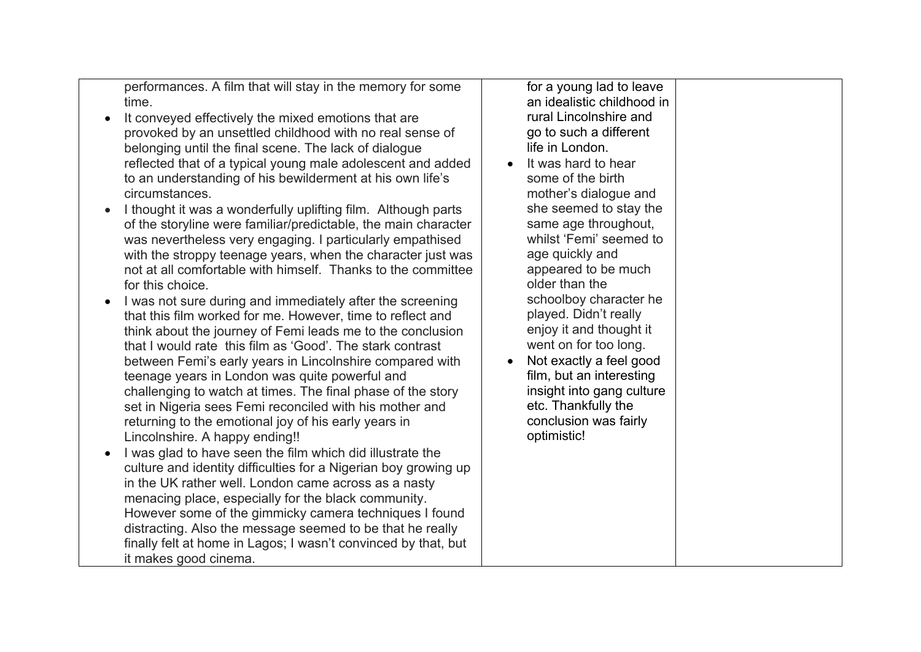performances. A film that will stay in the memory for some time.

- It conveved effectively the mixed emotions that are provoked by an unsettled childhood with no real sense of belonging until the final scene. The lack of dialogue reflected that of a typical young male adolescent and added to an understanding of his bewilderment at his own life's circumstances.
- I thought it was a wonderfully uplifting film. Although parts of the storyline were familiar/predictable, the main character was nevertheless very engaging. I particularly empathised with the stroppy teenage years, when the character just was not at all comfortable with himself. Thanks to the committee for this choice
- I was not sure during and immediately after the screening that this film worked for me. However, time to reflect and think about the journey of Femi leads me to the conclusion that I would rate this film as 'Good'. The stark contrast between Femi's early years in Lincolnshire compared with teenage years in London was quite powerful and challenging to watch at times. The final phase of the story set in Nigeria sees Femi reconciled with his mother and returning to the emotional joy of his early years in Lincolnshire. A happy ending!!
- I was glad to have seen the film which did illustrate the culture and identity difficulties for a Nigerian boy growing up in the UK rather well. London came across as a nasty menacing place, especially for the black community. However some of the gimmicky camera techniques I found distracting. Also the message seemed to be that he really finally felt at home in Lagos; I wasn't convinced by that, but it makes good cinema.

for a young lad to leave an idealistic childhood in rural Lincolnshire and go to such a different life in London.

- It was hard to hear some of the birth mother's dialogue and she seemed to stay the same age throughout, whilst 'Femi' seemed to age quickly and appeared to be much older than the schoolboy character he played. Didn't really enjoy it and thought it went on for too long.
- Not exactly a feel good film, but an interesting insight into gang culture etc. Thankfully the conclusion was fairly optimistic!